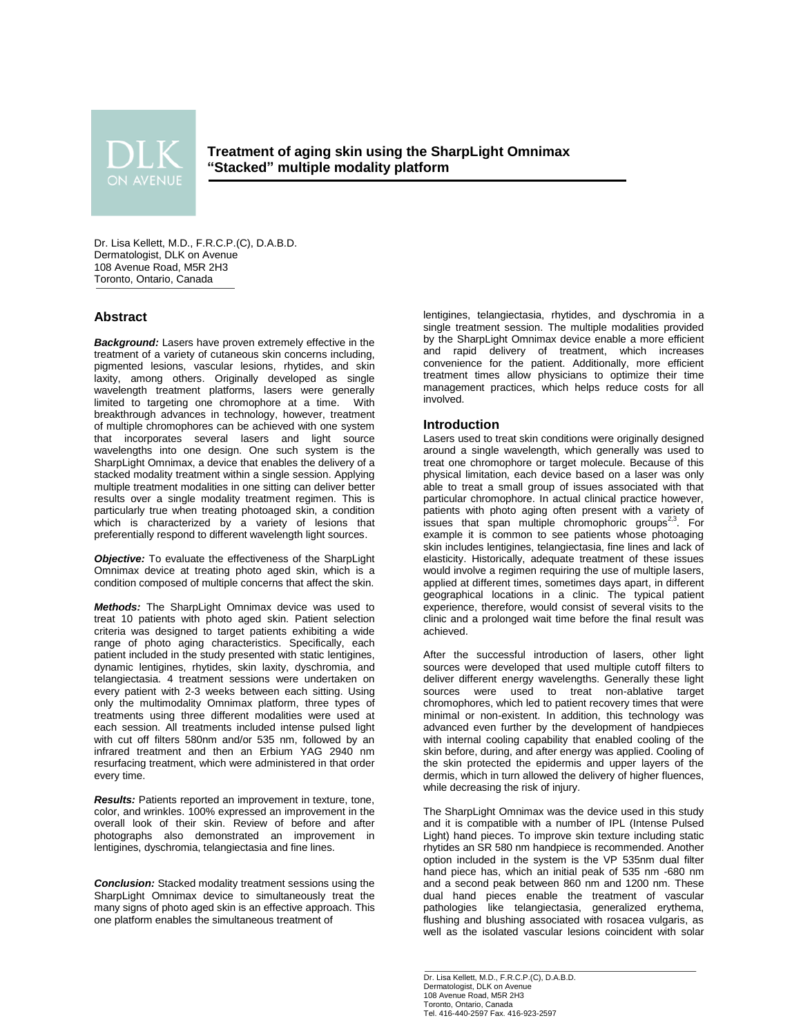

**Treatment of aging skin using the SharpLight Omnimax "Stacked" multiple modality platform**

Dr. Lisa Kellett, M.D., F.R.C.P.(C), D.A.B.D. Dermatologist, DLK on Avenue 108 Avenue Road, M5R 2H3 Toronto, Ontario, Canada

# **Abstract**

*Background:* Lasers have proven extremely effective in the treatment of a variety of cutaneous skin concerns including, pigmented lesions, vascular lesions, rhytides, and skin laxity, among others. Originally developed as single wavelength treatment platforms, lasers were generally limited to targeting one chromophore at a time. With breakthrough advances in technology, however, treatment of multiple chromophores can be achieved with one system that incorporates several lasers and light source wavelengths into one design. One such system is the SharpLight Omnimax, a device that enables the delivery of a stacked modality treatment within a single session. Applying multiple treatment modalities in one sitting can deliver better results over a single modality treatment regimen. This is particularly true when treating photoaged skin, a condition which is characterized by a variety of lesions that preferentially respond to different wavelength light sources.

*Objective:* To evaluate the effectiveness of the SharpLight Omnimax device at treating photo aged skin, which is a condition composed of multiple concerns that affect the skin.

*Methods:* The SharpLight Omnimax device was used to treat 10 patients with photo aged skin. Patient selection criteria was designed to target patients exhibiting a wide range of photo aging characteristics. Specifically, each patient included in the study presented with static lentigines, dynamic lentigines, rhytides, skin laxity, dyschromia, and telangiectasia. 4 treatment sessions were undertaken on every patient with 2-3 weeks between each sitting. Using only the multimodality Omnimax platform, three types of treatments using three different modalities were used at each session. All treatments included intense pulsed light with cut off filters 580nm and/or 535 nm, followed by an infrared treatment and then an Erbium YAG 2940 nm resurfacing treatment, which were administered in that order every time.

*Results:* Patients reported an improvement in texture, tone, color, and wrinkles. 100% expressed an improvement in the overall look of their skin. Review of before and after photographs also demonstrated an improvement in lentigines, dyschromia, telangiectasia and fine lines.

*Conclusion:* Stacked modality treatment sessions using the SharpLight Omnimax device to simultaneously treat the many signs of photo aged skin is an effective approach. This one platform enables the simultaneous treatment of

lentigines, telangiectasia, rhytides, and dyschromia in a single treatment session. The multiple modalities provided by the SharpLight Omnimax device enable a more efficient and rapid delivery of treatment, which increases convenience for the patient. Additionally, more efficient treatment times allow physicians to optimize their time management practices, which helps reduce costs for all involved.

# **Introduction**

Lasers used to treat skin conditions were originally designed around a single wavelength, which generally was used to treat one chromophore or target molecule. Because of this physical limitation, each device based on a laser was only able to treat a small group of issues associated with that particular chromophore. In actual clinical practice however, patients with photo aging often present with a variety of issues that span multiple chromophoric groups<sup>2,3</sup>. For example it is common to see patients whose photoaging skin includes lentigines, telangiectasia, fine lines and lack of elasticity. Historically, adequate treatment of these issues would involve a regimen requiring the use of multiple lasers, applied at different times, sometimes days apart, in different geographical locations in a clinic. The typical patient experience, therefore, would consist of several visits to the clinic and a prolonged wait time before the final result was achieved.

After the successful introduction of lasers, other light sources were developed that used multiple cutoff filters to deliver different energy wavelengths. Generally these light sources were used to treat non-ablative target chromophores, which led to patient recovery times that were minimal or non-existent. In addition, this technology was advanced even further by the development of handpieces with internal cooling capability that enabled cooling of the skin before, during, and after energy was applied. Cooling of the skin protected the epidermis and upper layers of the dermis, which in turn allowed the delivery of higher fluences, while decreasing the risk of injury.

The SharpLight Omnimax was the device used in this study and it is compatible with a number of IPL (Intense Pulsed Light) hand pieces. To improve skin texture including static rhytides an SR 580 nm handpiece is recommended. Another option included in the system is the VP 535nm dual filter hand piece has, which an initial peak of 535 nm -680 nm and a second peak between 860 nm and 1200 nm. These dual hand pieces enable the treatment of vascular pathologies like telangiectasia, generalized erythema, flushing and blushing associated with rosacea vulgaris, as well as the isolated vascular lesions coincident with solar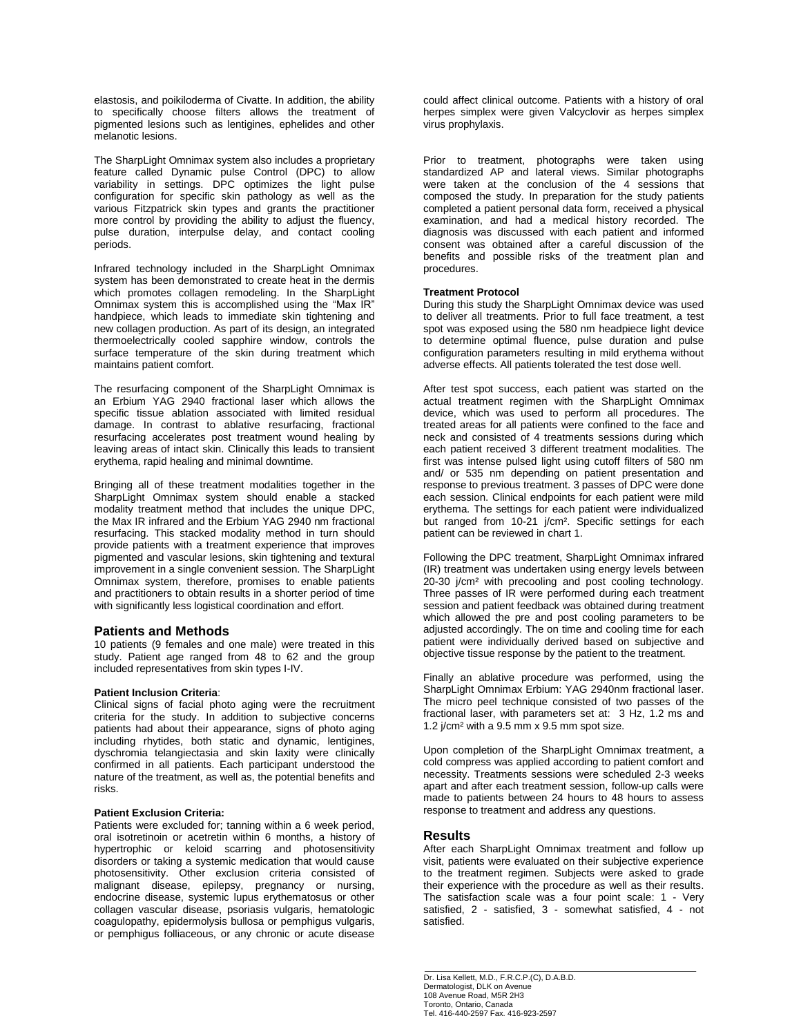elastosis, and poikiloderma of Civatte. In addition, the ability to specifically choose filters allows the treatment of pigmented lesions such as lentigines, ephelides and other melanotic lesions.

The SharpLight Omnimax system also includes a proprietary feature called Dynamic pulse Control (DPC) to allow variability in settings. DPC optimizes the light pulse configuration for specific skin pathology as well as the various Fitzpatrick skin types and grants the practitioner more control by providing the ability to adjust the fluency, pulse duration, interpulse delay, and contact cooling periods.

Infrared technology included in the SharpLight Omnimax system has been demonstrated to create heat in the dermis which promotes collagen remodeling. In the SharpLight Omnimax system this is accomplished using the "Max IR" handpiece, which leads to immediate skin tightening and new collagen production. As part of its design, an integrated thermoelectrically cooled sapphire window, controls the surface temperature of the skin during treatment which maintains patient comfort.

The resurfacing component of the SharpLight Omnimax is an Erbium YAG 2940 fractional laser which allows the specific tissue ablation associated with limited residual damage. In contrast to ablative resurfacing, fractional resurfacing accelerates post treatment wound healing by leaving areas of intact skin. Clinically this leads to transient erythema, rapid healing and minimal downtime.

Bringing all of these treatment modalities together in the SharpLight Omnimax system should enable a stacked modality treatment method that includes the unique DPC, the Max IR infrared and the Erbium YAG 2940 nm fractional resurfacing. This stacked modality method in turn should provide patients with a treatment experience that improves pigmented and vascular lesions, skin tightening and textural improvement in a single convenient session. The SharpLight Omnimax system, therefore, promises to enable patients and practitioners to obtain results in a shorter period of time with significantly less logistical coordination and effort.

# **Patients and Methods**

10 patients (9 females and one male) were treated in this study. Patient age ranged from 48 to 62 and the group included representatives from skin types I-IV.

## **Patient Inclusion Criteria**:

Clinical signs of facial photo aging were the recruitment criteria for the study. In addition to subjective concerns patients had about their appearance, signs of photo aging including rhytides, both static and dynamic, lentigines, dyschromia telangiectasia and skin laxity were clinically confirmed in all patients. Each participant understood the nature of the treatment, as well as, the potential benefits and risks.

# **Patient Exclusion Criteria:**

Patients were excluded for; tanning within a 6 week period, oral isotretinoin or acetretin within 6 months, a history of hypertrophic or keloid scarring and photosensitivity disorders or taking a systemic medication that would cause photosensitivity. Other exclusion criteria consisted of malignant disease, epilepsy, pregnancy or nursing, endocrine disease, systemic lupus erythematosus or other collagen vascular disease, psoriasis vulgaris, hematologic coagulopathy, epidermolysis bullosa or pemphigus vulgaris, or pemphigus folliaceous, or any chronic or acute disease

could affect clinical outcome. Patients with a history of oral herpes simplex were given Valcyclovir as herpes simplex virus prophylaxis.

Prior to treatment, photographs were taken using standardized AP and lateral views. Similar photographs were taken at the conclusion of the 4 sessions that composed the study. In preparation for the study patients completed a patient personal data form, received a physical examination, and had a medical history recorded. The diagnosis was discussed with each patient and informed consent was obtained after a careful discussion of the benefits and possible risks of the treatment plan and procedures.

#### **Treatment Protocol**

During this study the SharpLight Omnimax device was used to deliver all treatments. Prior to full face treatment, a test spot was exposed using the 580 nm headpiece light device to determine optimal fluence, pulse duration and pulse configuration parameters resulting in mild erythema without adverse effects. All patients tolerated the test dose well.

After test spot success, each patient was started on the actual treatment regimen with the SharpLight Omnimax device, which was used to perform all procedures. The treated areas for all patients were confined to the face and neck and consisted of 4 treatments sessions during which each patient received 3 different treatment modalities. The first was intense pulsed light using cutoff filters of 580 nm and/ or 535 nm depending on patient presentation and response to previous treatment. 3 passes of DPC were done each session. Clinical endpoints for each patient were mild erythema. The settings for each patient were individualized but ranged from 10-21 j/cm². Specific settings for each patient can be reviewed in chart 1.

Following the DPC treatment, SharpLight Omnimax infrared (IR) treatment was undertaken using energy levels between 20-30 j/cm² with precooling and post cooling technology. Three passes of IR were performed during each treatment session and patient feedback was obtained during treatment which allowed the pre and post cooling parameters to be adjusted accordingly. The on time and cooling time for each patient were individually derived based on subjective and objective tissue response by the patient to the treatment.

Finally an ablative procedure was performed, using the SharpLight Omnimax Erbium: YAG 2940nm fractional laser. The micro peel technique consisted of two passes of the fractional laser, with parameters set at: 3 Hz, 1.2 ms and 1.2 j/cm² with a 9.5 mm x 9.5 mm spot size.

Upon completion of the SharpLight Omnimax treatment, a cold compress was applied according to patient comfort and necessity. Treatments sessions were scheduled 2-3 weeks apart and after each treatment session, follow-up calls were made to patients between 24 hours to 48 hours to assess response to treatment and address any questions.

## **Results**

After each SharpLight Omnimax treatment and follow up visit, patients were evaluated on their subjective experience to the treatment regimen. Subjects were asked to grade their experience with the procedure as well as their results. The satisfaction scale was a four point scale: 1 - Very satisfied, 2 - satisfied, 3 - somewhat satisfied, 4 - not satisfied.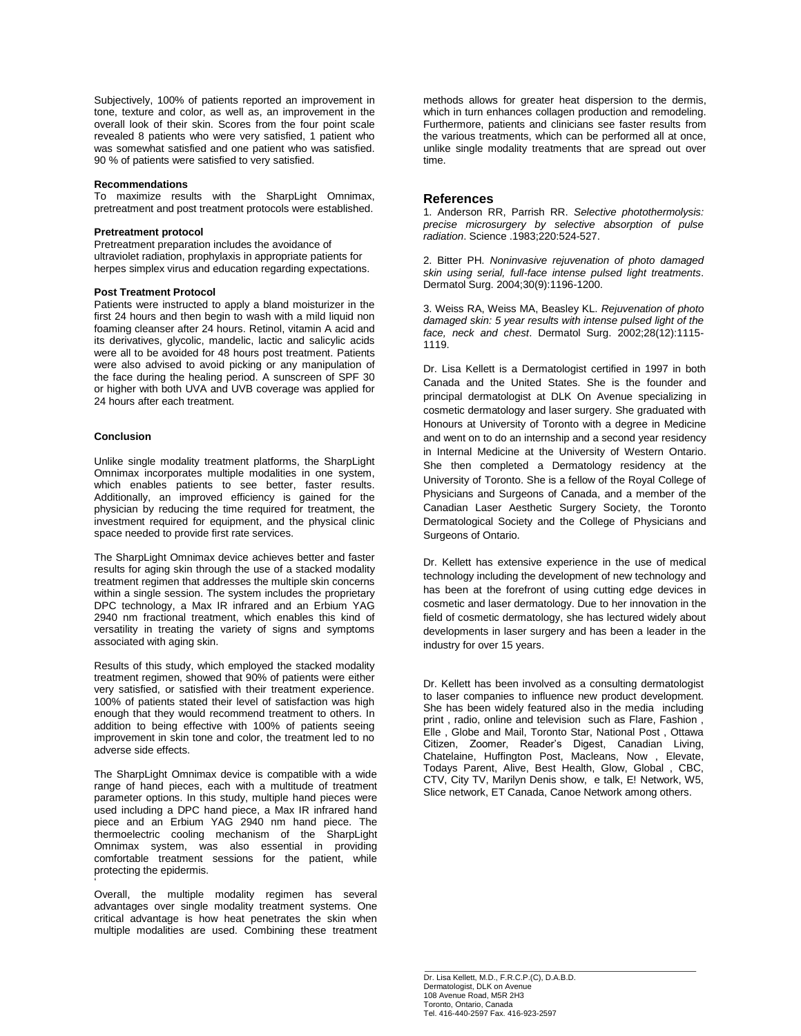Subjectively, 100% of patients reported an improvement in tone, texture and color, as well as, an improvement in the overall look of their skin. Scores from the four point scale revealed 8 patients who were very satisfied, 1 patient who was somewhat satisfied and one patient who was satisfied. 90 % of patients were satisfied to very satisfied.

### **Recommendations**

To maximize results with the SharpLight Omnimax, pretreatment and post treatment protocols were established.

### **Pretreatment protocol**

Pretreatment preparation includes the avoidance of ultraviolet radiation, prophylaxis in appropriate patients for herpes simplex virus and education regarding expectations.

#### **Post Treatment Protocol**

Patients were instructed to apply a bland moisturizer in the first 24 hours and then begin to wash with a mild liquid non foaming cleanser after 24 hours. Retinol, vitamin A acid and its derivatives, glycolic, mandelic, lactic and salicylic acids were all to be avoided for 48 hours post treatment. Patients were also advised to avoid picking or any manipulation of the face during the healing period. A sunscreen of SPF 30 or higher with both UVA and UVB coverage was applied for 24 hours after each treatment.

# **Conclusion**

'

Unlike single modality treatment platforms, the SharpLight Omnimax incorporates multiple modalities in one system, which enables patients to see better, faster results. Additionally, an improved efficiency is gained for the physician by reducing the time required for treatment, the investment required for equipment, and the physical clinic space needed to provide first rate services.

The SharpLight Omnimax device achieves better and faster results for aging skin through the use of a stacked modality treatment regimen that addresses the multiple skin concerns within a single session. The system includes the proprietary DPC technology, a Max IR infrared and an Erbium YAG 2940 nm fractional treatment, which enables this kind of versatility in treating the variety of signs and symptoms associated with aging skin.

Results of this study, which employed the stacked modality treatment regimen, showed that 90% of patients were either very satisfied, or satisfied with their treatment experience. 100% of patients stated their level of satisfaction was high enough that they would recommend treatment to others. In addition to being effective with 100% of patients seeing improvement in skin tone and color, the treatment led to no adverse side effects.

The SharpLight Omnimax device is compatible with a wide range of hand pieces, each with a multitude of treatment parameter options. In this study, multiple hand pieces were used including a DPC hand piece, a Max IR infrared hand piece and an Erbium YAG 2940 nm hand piece. The thermoelectric cooling mechanism of the SharpLight Omnimax system, was also essential in providing comfortable treatment sessions for the patient, while protecting the epidermis.

Overall, the multiple modality regimen has several advantages over single modality treatment systems. One critical advantage is how heat penetrates the skin when multiple modalities are used. Combining these treatment

methods allows for greater heat dispersion to the dermis, which in turn enhances collagen production and remodeling. Furthermore, patients and clinicians see faster results from the various treatments, which can be performed all at once, unlike single modality treatments that are spread out over time.

## **References**

1. Anderson RR, Parrish RR. *Selective photothermolysis: precise microsurgery by selective absorption of pulse radiation*. Science .1983;220:524-527.

2. Bitter PH. *Noninvasive rejuvenation of photo damaged skin using serial, full-face intense pulsed light treatments*. Dermatol Surg. 2004;30(9):1196-1200.

3. Weiss RA, Weiss MA, Beasley KL. *Rejuvenation of photo damaged skin: 5 year results with intense pulsed light of the face, neck and chest*. Dermatol Surg. 2002;28(12):1115- 1119.

Dr. Lisa Kellett is a Dermatologist certified in 1997 in both Canada and the United States. She is the founder and principal dermatologist at DLK On Avenue specializing in cosmetic dermatology and laser surgery. She graduated with Honours at University of Toronto with a degree in Medicine and went on to do an internship and a second year residency in Internal Medicine at the University of Western Ontario. She then completed a Dermatology residency at the University of Toronto. She is a fellow of the Royal College of Physicians and Surgeons of Canada, and a member of the Canadian Laser Aesthetic Surgery Society, the Toronto Dermatological Society and the College of Physicians and Surgeons of Ontario.

Dr. Kellett has extensive experience in the use of medical technology including the development of new technology and has been at the forefront of using cutting edge devices in cosmetic and laser dermatology. Due to her innovation in the field of cosmetic dermatology, she has lectured widely about developments in laser surgery and has been a leader in the industry for over 15 years.

Dr. Kellett has been involved as a consulting dermatologist to laser companies to influence new product development. She has been widely featured also in the media including print , radio, online and television such as Flare, Fashion , Elle , Globe and Mail, Toronto Star, National Post , Ottawa Citizen, Zoomer, Reader's Digest, Canadian Living, Chatelaine, Huffington Post, Macleans, Now , Elevate, Todays Parent, Alive, Best Health, Glow, Global , CBC, CTV, City TV, Marilyn Denis show, e talk, E! Network, W5, Slice network, ET Canada, Canoe Network among others.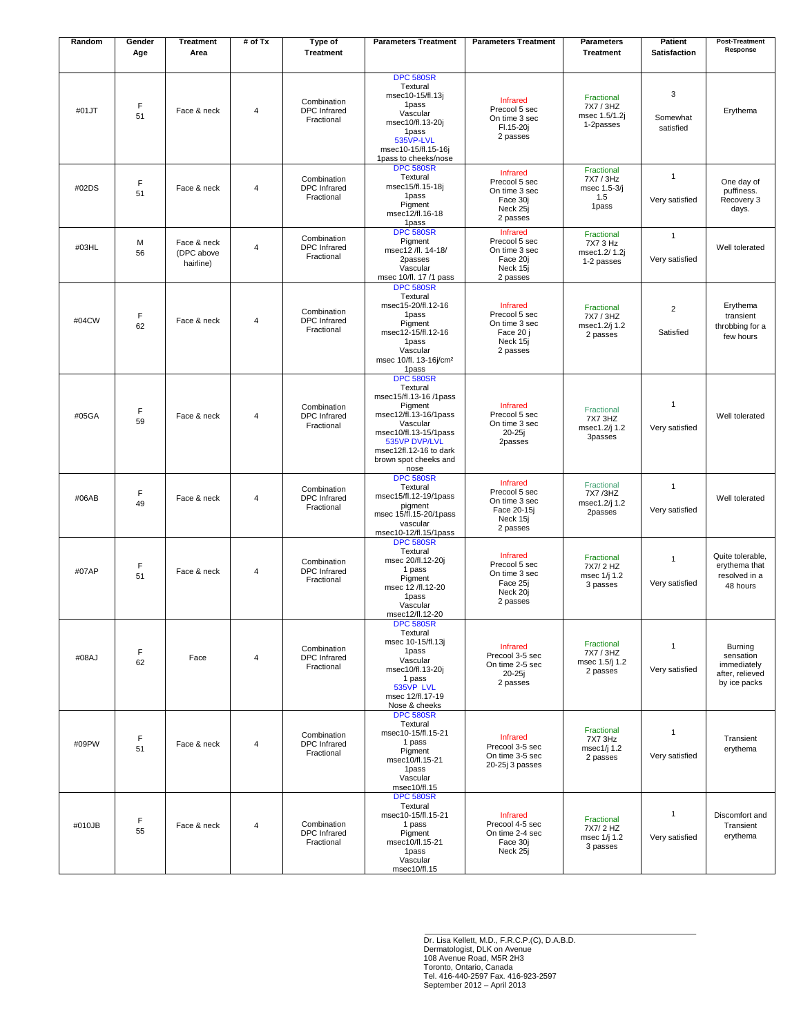| Random | Gender<br>Age | <b>Treatment</b><br>Area               | # of Tx                 | Type of<br><b>Treatment</b>                      | <b>Parameters Treatment</b>                                                                                                                                                                                 | <b>Parameters Treatment</b>                                                       | <b>Parameters</b><br><b>Treatment</b>                   | Patient<br><b>Satisfaction</b> | <b>Post-Treatment</b><br>Response                                      |
|--------|---------------|----------------------------------------|-------------------------|--------------------------------------------------|-------------------------------------------------------------------------------------------------------------------------------------------------------------------------------------------------------------|-----------------------------------------------------------------------------------|---------------------------------------------------------|--------------------------------|------------------------------------------------------------------------|
| #01JT  | F<br>51       | Face & neck                            | 4                       | Combination<br><b>DPC</b> Infrared<br>Fractional | <b>DPC 580SR</b><br>Textural<br>msec10-15/fl.13j<br>1pass<br>Vascular<br>msec10/fl.13-20j<br>1pass<br>535VP-LVL<br>msec10-15/fl.15-16j<br>1pass to cheeks/nose                                              | <b>Infrared</b><br>Precool 5 sec<br>On time 3 sec<br>Fl.15-20j<br>2 passes        | Fractional<br>7X7 / 3HZ<br>msec 1.5/1.2j<br>1-2passes   | 3<br>Somewhat<br>satisfied     | Erythema                                                               |
| #02DS  | F<br>51       | Face & neck                            | $\overline{4}$          | Combination<br><b>DPC</b> Infrared<br>Fractional | <b>DPC 580SR</b><br>Textural<br>msec15/fl.15-18j<br>1pass<br>Pigment<br>msec12/fl.16-18<br>1pass                                                                                                            | Infrared<br>Precool 5 sec<br>On time 3 sec<br>Face 30i<br>Neck 25i<br>2 passes    | Fractional<br>7X7 / 3Hz<br>msec 1.5-3/j<br>1.5<br>1pass | $\mathbf{1}$<br>Very satisfied | One day of<br>puffiness.<br>Recovery 3<br>days.                        |
| #03HL  | M<br>56       | Face & neck<br>(DPC above<br>hairline) | $\overline{\mathbf{4}}$ | Combination<br><b>DPC</b> Infrared<br>Fractional | <b>DPC 580SR</b><br>Pigment<br>msec12 /fl. 14-18/<br>2passes<br>Vascular<br>msec 10/fl. 17/1 pass                                                                                                           | Infrared<br>Precool 5 sec<br>On time 3 sec<br>Face 20j<br>Neck 15j<br>2 passes    | Fractional<br>7X7 3 Hz<br>msec1.2/ 1.2j<br>1-2 passes   | $\mathbf{1}$<br>Very satisfied | Well tolerated                                                         |
| #04CW  | F<br>62       | Face & neck                            | 4                       | Combination<br><b>DPC</b> Infrared<br>Fractional | <b>DPC 580SR</b><br>Textural<br>msec15-20/fl.12-16<br>1pass<br>Pigment<br>msec12-15/fl.12-16<br>1pass<br>Vascular<br>msec 10/fl. 13-16j/cm <sup>2</sup><br>1pass                                            | Infrared<br>Precool 5 sec<br>On time 3 sec<br>Face 20 j<br>Neck 15i<br>2 passes   | Fractional<br>7X7 / 3HZ<br>msec1.2/j 1.2<br>2 passes    | $\overline{2}$<br>Satisfied    | Erythema<br>transient<br>throbbing for a<br>few hours                  |
| #05GA  | F<br>59       | Face & neck                            | 4                       | Combination<br><b>DPC</b> Infrared<br>Fractional | <b>DPC 580SR</b><br>Textural<br>msec15/fl.13-16 /1pass<br>Pigment<br>msec12/fl.13-16/1pass<br>Vascular<br>msec10/fl.13-15/1pass<br>535VP DVP/LVL<br>msec12fl.12-16 to dark<br>brown spot cheeks and<br>nose | Infrared<br>Precool 5 sec<br>On time 3 sec<br>$20-25i$<br>2passes                 | Fractional<br>7X7 3HZ<br>msec1.2/j 1.2<br>3passes       | 1<br>Very satisfied            | Well tolerated                                                         |
| #06AB  | F<br>49       | Face & neck                            | $\overline{4}$          | Combination<br><b>DPC</b> Infrared<br>Fractional | <b>DPC 580SR</b><br>Textural<br>msec15/fl.12-19/1pass<br>pigment<br>msec 15/fl.15-20/1pass<br>vascular<br>msec10-12/fl.15/1pass                                                                             | Infrared<br>Precool 5 sec<br>On time 3 sec<br>Face 20-15j<br>Neck 15j<br>2 passes | Fractional<br>7X7 /3HZ<br>msec1.2/j 1.2<br>2passes      | $\mathbf{1}$<br>Very satisfied | Well tolerated                                                         |
| #07AP  | F<br>51       | Face & neck                            | 4                       | Combination<br><b>DPC</b> Infrared<br>Fractional | <b>DPC 580SR</b><br>Textural<br>msec 20/fl.12-20j<br>1 pass<br>Pigment<br>msec 12 /fl.12-20<br>1pass<br>Vascular<br>msec12/fl.12-20                                                                         | Infrared<br>Precool 5 sec<br>On time 3 sec<br>Face 25j<br>Neck 20j<br>2 passes    | Fractional<br>7X7/2 HZ<br>msec 1/j 1.2<br>3 passes      | $\mathbf{1}$<br>Very satisfied | Quite tolerable,<br>erythema that<br>resolved in a<br>48 hours         |
| #08AJ  | F<br>62       | Face                                   | 4                       | Combination<br><b>DPC</b> Infrared<br>Fractional | <b>DFC 580SR</b><br>Textural<br>msec 10-15/fl.13j<br>1pass<br>Vascular<br>msec10/fl.13-20j<br>1 pass<br>535VP LVL<br>msec 12/fl.17-19<br>Nose & cheeks                                                      | Infrared<br>Precool 3-5 sec<br>On time 2-5 sec<br>$20-25j$<br>2 passes            | Fractional<br>7X7 / 3HZ<br>msec 1.5/j 1.2<br>2 passes   | $\mathbf{1}$<br>Very satisfied | Burning<br>sensation<br>immediately<br>after, relieved<br>by ice packs |
| #09PW  | F<br>51       | Face & neck                            | 4                       | Combination<br><b>DPC</b> Infrared<br>Fractional | <b>DPC 580SR</b><br>Textural<br>msec10-15/fl.15-21<br>1 pass<br>Pigment<br>msec10/fl.15-21<br>1pass<br>Vascular<br>msec10/fl.15                                                                             | Infrared<br>Precool 3-5 sec<br>On time 3-5 sec<br>20-25j 3 passes                 | Fractional<br>7X7 3Hz<br>msec1/j 1.2<br>2 passes        | $\mathbf{1}$<br>Very satisfied | Transient<br>erythema                                                  |
| #010JB | F<br>55       | Face & neck                            | 4                       | Combination<br><b>DPC</b> Infrared<br>Fractional | <b>DPC 580SR</b><br>Textural<br>msec10-15/fl.15-21<br>1 pass<br>Pigment<br>msec10/fl.15-21<br>1pass<br>Vascular<br>msec10/fl.15                                                                             | Infrared<br>Precool 4-5 sec<br>On time 2-4 sec<br>Face 30j<br>Neck 25j            | Fractional<br>7X7/2 HZ<br>msec 1/j 1.2<br>3 passes      | $\mathbf{1}$<br>Very satisfied | Discomfort and<br>Transient<br>erythema                                |